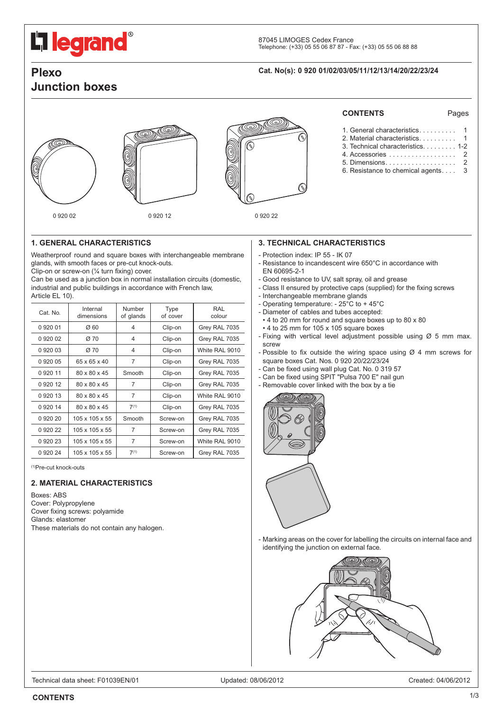# <span id="page-0-0"></span>**L'1 legrand**

# **Junction boxes**

### **Plexo Cat. No(s): 0 920 01/02/03/05/11/12/13/14/20/22/23/24**







### **CONTENTS** Pages

| 3. Technical characteristics 1-2   |  |
|------------------------------------|--|
| 4. Accessories 2                   |  |
|                                    |  |
| 6. Resistance to chemical agents 3 |  |

#### **1. GENERAL CHARACTERISTICS**

Weatherproof round and square boxes with interchangeable membrane glands, with smooth faces or pre-cut knock-outs.

Clip-on or screw-on (¼ turn fixing) cover.

Can be used as a junction box in normal installation circuits (domestic, industrial and public buildings in accordance with French law, Article FL 10).

| Cat. No.    | Internal<br>dimensions     | Number<br>of glands | Type<br>of cover | RAL<br>colour  |
|-------------|----------------------------|---------------------|------------------|----------------|
| 0 920 01    | $\varnothing$ 60           | 4                   | Clip-on          | Grey RAL 7035  |
| 0 920 02    | Ø 70                       | 4                   | Clip-on          | Grey RAL 7035  |
| 092003      | Ø 70                       | 4                   | Clip-on          | White RAL 9010 |
| 092005      | 65 x 65 x 40               | $\overline{7}$      | Clip-on          | Grey RAL 7035  |
| 0 9 2 0 1 1 | 80 x 80 x 45               | Smooth              | Clip-on          | Grey RAL 7035  |
| 0 9 2 0 1 2 | 80 x 80 x 45               | 7                   | Clip-on          | Grey RAL 7035  |
| 0 9 2 0 1 3 | 80 x 80 x 45               | 7                   | Clip-on          | White RAL 9010 |
| 0 920 14    | 80 x 80 x 45               | $7^{(1)}$           | Clip-on          | Grey RAL 7035  |
| 0 920 20    | 105 x 105 x 55             | Smooth              | Screw-on         | Grey RAL 7035  |
| 0 920 22    | $105 \times 105 \times 55$ | 7                   | Screw-on         | Grey RAL 7035  |
| 092023      | $105 \times 105 \times 55$ | $\overline{7}$      | Screw-on         | White RAL 9010 |
| 092024      | $105 \times 105 \times 55$ | $7^{(1)}$           | Screw-on         | Grey RAL 7035  |

(1)Pre-cut knock-outs

#### **2. MATERIAL CHARACTERISTICS**

Boxes: ABS Cover: Polypropylene Cover fixing screws: polyamide Glands: elastomer These materials do not contain any halogen.

#### **3. TECHNICAL CHARACTERISTICS**

- Protection index: IP 55 IK 07
- Resistance to incandescent wire 650°C in accordance with EN 60695-2-1
- Good resistance to UV, salt spray, oil and grease
- Class II ensured by protective caps (supplied) for the fixing screws
- Interchangeable membrane glands
- Operating temperature: 25°C to + 45°C
- Diameter of cables and tubes accepted:
- 4 to 20 mm for round and square boxes up to 80 x 80 • 4 to 25 mm for 105 x 105 square boxes
- Fixing with vertical level adjustment possible using  $Ø 5$  mm max. screw
- Possible to fix outside the wiring space using  $\varnothing$  4 mm screws for square boxes Cat. Nos. 0 920 20/22/23/24
- Can be fixed using wall plug Cat. No. 0 319 57
- Can be fixed using SPIT "Pulsa 700 E" nail gun
- Removable cover linked with the box by a tie



- Marking areas on the cover for labelling the circuits on internal face and identifying the junction on external face.

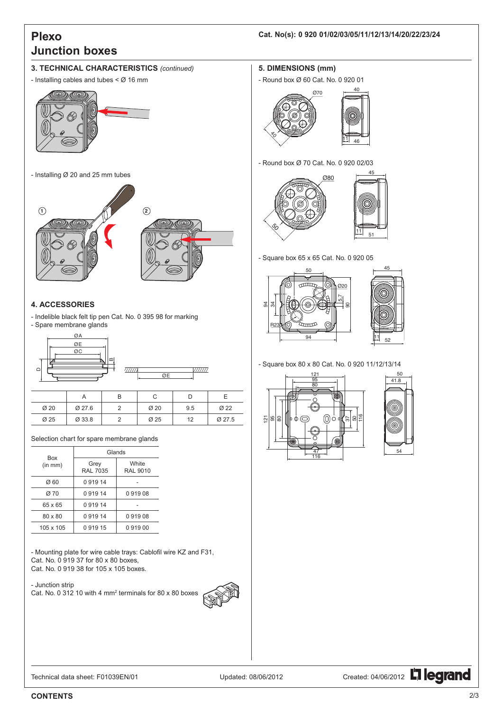## <span id="page-1-0"></span>**Plexo Junction boxes**

#### **Cat. No(s): 0 920 01/02/03/05/11/12/13/14/20/22/23/24**

#### **3. TECHNICAL CHARACTERISTICS** *(continued)*

- Installing cables and tubes < Ø 16 mm



#### **4. ACCESSORIES**

- Indelible black felt tip pen Cat. No. 0 395 98 for marking - Spare membrane glands

| ØA           |    |  |
|--------------|----|--|
| ØE           |    |  |
| ØC           |    |  |
| $\mathbf{m}$ |    |  |
|              | ØE |  |
|              |    |  |

|      |        | B |      | D   |        |
|------|--------|---|------|-----|--------|
| Ø 20 | Ø 27.6 |   | Ø 20 | 9.5 | Ø22    |
| Ø 25 | Ø 33.8 |   | Ø 25 | 12  | Ø 27.5 |

Selection chart for spare membrane glands

| Box       | Glands                  |                          |  |
|-----------|-------------------------|--------------------------|--|
| (in mm)   | Grey<br><b>RAL 7035</b> | White<br><b>RAL 9010</b> |  |
| Ø 60      | 091914                  |                          |  |
| Ø 70      | 091914                  | 091908                   |  |
| 65 x 65   | 091914                  |                          |  |
| 80 x 80   | 091914                  | 091908                   |  |
| 105 x 105 | 091915                  | 091900                   |  |

- Mounting plate for wire cable trays: Cablofil wire KZ and F31, Cat. No. 0 919 37 for 80 x 80 boxes, Cat. No. 0 919 38 for 105 x 105 boxes.

- Junction strip Cat. No. 0 312 10 with 4 mm2 terminals for 80 x 80 boxes



#### **5. DIMENSIONS (mm)**

- Round box Ø 60 Cat. No. 0 920 01



- Round box Ø 70 Cat. No. 0 920 02/03



- Square box 65 x 65 Cat. No. 0 920 05



- Square box 80 x 80 Cat. No. 0 920 11/12/13/14





Technical data sheet: F01039EN/01 Updated: 08/06/2012 Created: 04/06/2012